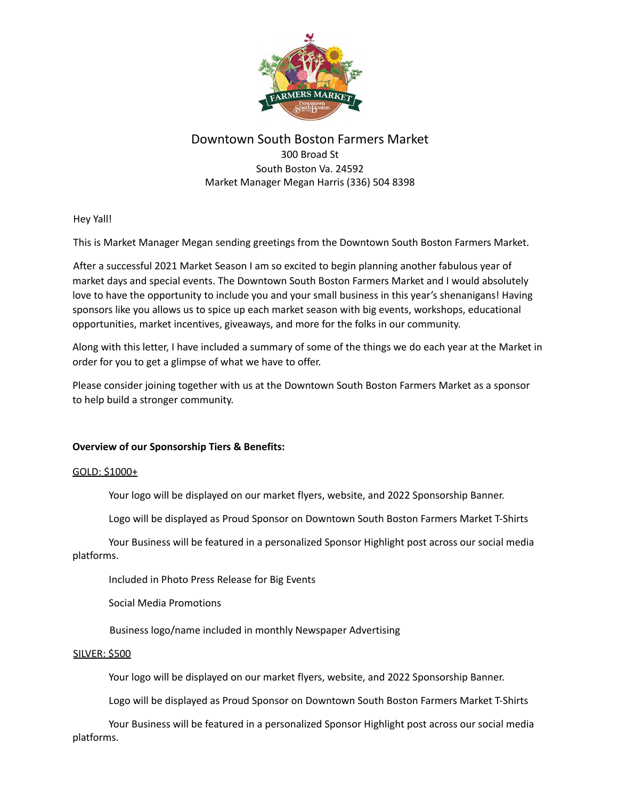

## Downtown South Boston Farmers Market

300 Broad St South Boston Va. 24592 Market Manager Megan Harris (336) 504 8398

Hey Yall!

This is Market Manager Megan sending greetings from the Downtown South Boston Farmers Market.

After a successful 2021 Market Season I am so excited to begin planning another fabulous year of market days and special events. The Downtown South Boston Farmers Market and I would absolutely love to have the opportunity to include you and your small business in this year's shenanigans! Having sponsors like you allows us to spice up each market season with big events, workshops, educational opportunities, market incentives, giveaways, and more for the folks in our community.

Along with this letter, I have included a summary of some of the things we do each year at the Market in order for you to get a glimpse of what we have to offer.

Please consider joining together with us at the Downtown South Boston Farmers Market as a sponsor to help build a stronger community.

## **Overview of our Sponsorship Tiers & Benefits:**

## GOLD: \$1000+

Your logo will be displayed on our market flyers, website, and 2022 Sponsorship Banner.

Logo will be displayed as Proud Sponsor on Downtown South Boston Farmers Market T-Shirts

Your Business will be featured in a personalized Sponsor Highlight post across our social media platforms.

Included in Photo Press Release for Big Events

Social Media Promotions

Business logo/name included in monthly Newspaper Advertising

#### SILVER: \$500

Your logo will be displayed on our market flyers, website, and 2022 Sponsorship Banner.

Logo will be displayed as Proud Sponsor on Downtown South Boston Farmers Market T-Shirts

Your Business will be featured in a personalized Sponsor Highlight post across our social media platforms.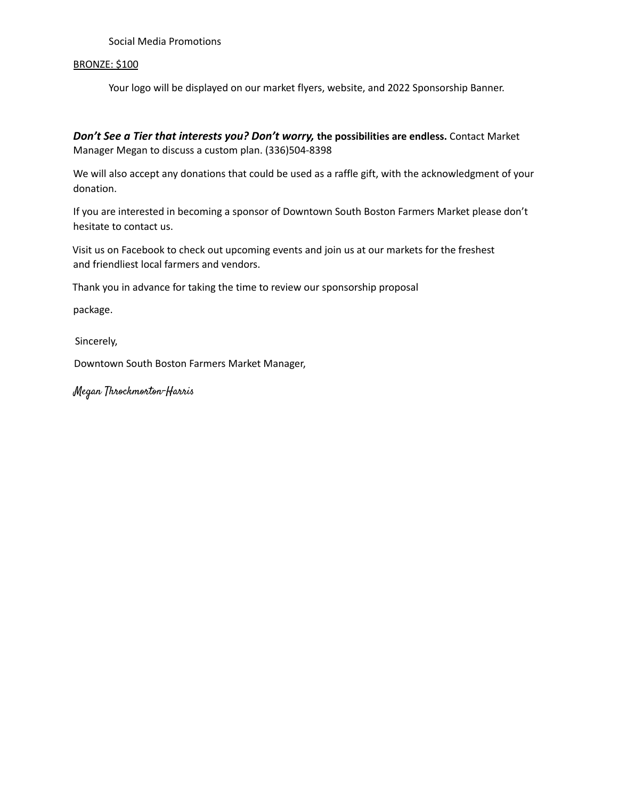Social Media Promotions

#### BRONZE: \$100

Your logo will be displayed on our market flyers, website, and 2022 Sponsorship Banner.

*Don't See a Tier that interests you? Don't worry,* **the possibilities are endless.** Contact Market Manager Megan to discuss a custom plan. (336)504-8398

We will also accept any donations that could be used as a raffle gift, with the acknowledgment of your donation.

If you are interested in becoming a sponsor of Downtown South Boston Farmers Market please don't hesitate to contact us.

Visit us on Facebook to check out upcoming events and join us at our markets for the freshest and friendliest local farmers and vendors.

Thank you in advance for taking the time to review our sponsorship proposal

package.

Sincerely,

Downtown South Boston Farmers Market Manager,

Megan Throckmorton-Harris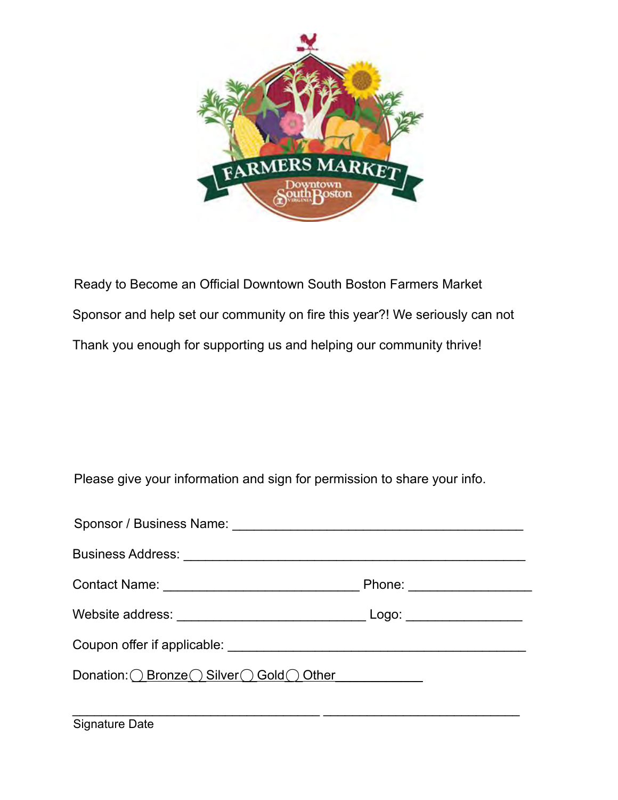

Ready to Become an Official Downtown South Boston Farmers Market Sponsor and help set our community on fire this year?! We seriously can not Thank you enough for supporting us and helping our community thrive!

Please give your information and sign for permission to share your info.

| Sponsor / Business Name: \\connect{\bmg n math> |  |
|-------------------------------------------------|--|
|                                                 |  |
|                                                 |  |
|                                                 |  |
|                                                 |  |
| Donation: O Bronze O Silver O Gold O Other      |  |

 $\overline{a}$  , and the contribution of the contribution of  $\overline{a}$  , and  $\overline{a}$  , and  $\overline{a}$  , and  $\overline{a}$  , and  $\overline{a}$  , and  $\overline{a}$  , and  $\overline{a}$  , and  $\overline{a}$  , and  $\overline{a}$  , and  $\overline{a}$  , and  $\overline{a}$  , and

Signature Date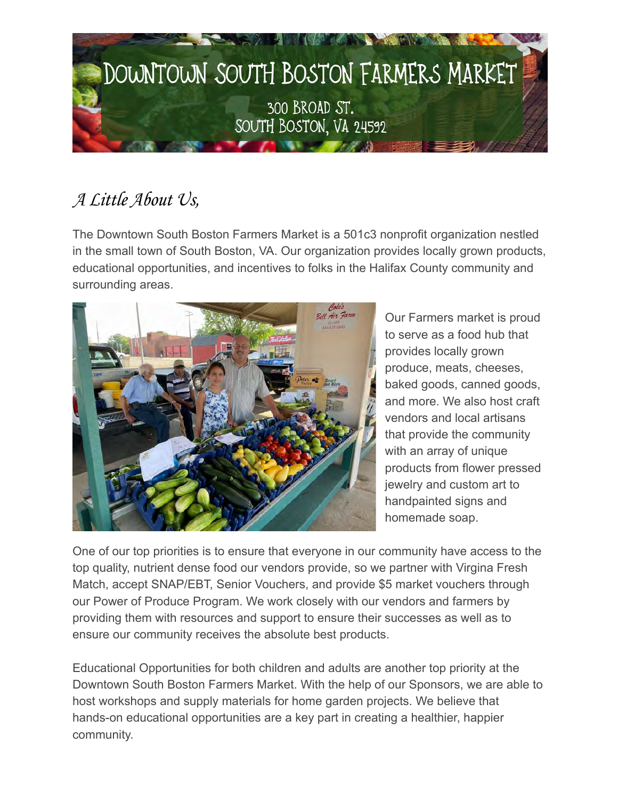

# *A Little About Us,*

The Downtown South Boston Farmers Market is a 501c3 nonprofit organization nestled in the small town of South Boston, VA. Our organization provides locally grown products, educational opportunities, and incentives to folks in the Halifax County community and surrounding areas.



Our Farmers market is proud to serve as a food hub that provides locally grown produce, meats, cheeses, baked goods, canned goods, and more. We also host craft vendors and local artisans that provide the community with an array of unique products from flower pressed jewelry and custom art to handpainted signs and homemade soap.

One of our top priorities is to ensure that everyone in our community have access to the top quality, nutrient dense food our vendors provide, so we partner with Virgina Fresh Match, accept SNAP/EBT, Senior Vouchers, and provide \$5 market vouchers through our Power of Produce Program. We work closely with our vendors and farmers by providing them with resources and support to ensure their successes as well as to ensure our community receives the absolute best products.

Educational Opportunities for both children and adults are another top priority at the Downtown South Boston Farmers Market. With the help of our Sponsors, we are able to host workshops and supply materials for home garden projects. We believe that hands-on educational opportunities are a key part in creating a healthier, happier community.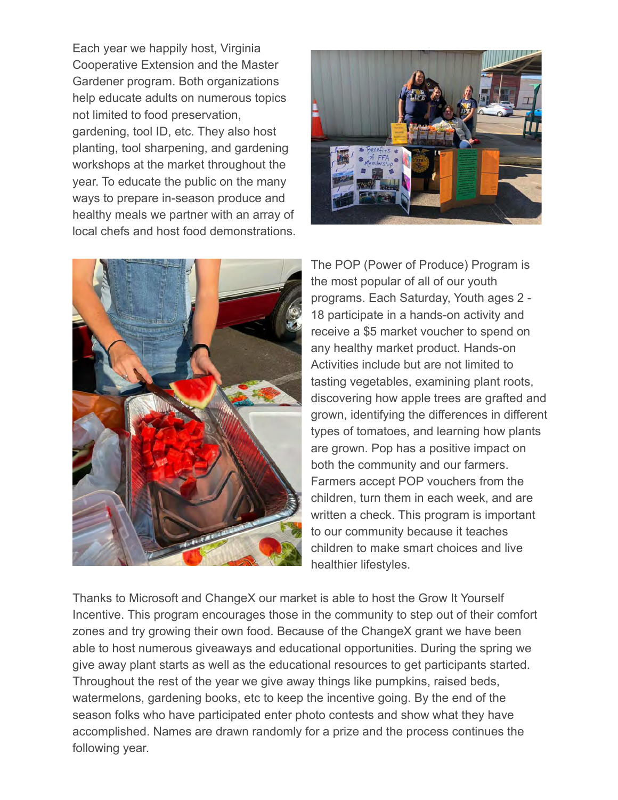Each year we happily host, Virginia Cooperative Extension and the Master Gardener program. Both organizations help educate adults on numerous topics not limited to food preservation, gardening, tool ID, etc. They also host planting, tool sharpening, and gardening workshops at the market throughout the year. To educate the public on the many ways to prepare in-season produce and healthy meals we partner with an array of local chefs and host food demonstrations.





The POP (Power of Produce) Program is the most popular of all of our youth programs. Each Saturday, Youth ages 2 - 18 participate in a hands-on activity and receive a \$5 market voucher to spend on any healthy market product. Hands-on Activities include but are not limited to tasting vegetables, examining plant roots, discovering how apple trees are grafted and grown, identifying the differences in different types of tomatoes, and learning how plants are grown. Pop has a positive impact on both the community and our farmers. Farmers accept POP vouchers from the children, turn them in each week, and are written a check. This program is important to our community because it teaches children to make smart choices and live healthier lifestyles.

Thanks to Microsoft and ChangeX our market is able to host the Grow It Yourself Incentive. This program encourages those in the community to step out of their comfort zones and try growing their own food. Because of the ChangeX grant we have been able to host numerous giveaways and educational opportunities. During the spring we give away plant starts as well as the educational resources to get participants started. Throughout the rest of the year we give away things like pumpkins, raised beds, watermelons, gardening books, etc to keep the incentive going. By the end of the season folks who have participated enter photo contests and show what they have accomplished. Names are drawn randomly for a prize and the process continues the following year.